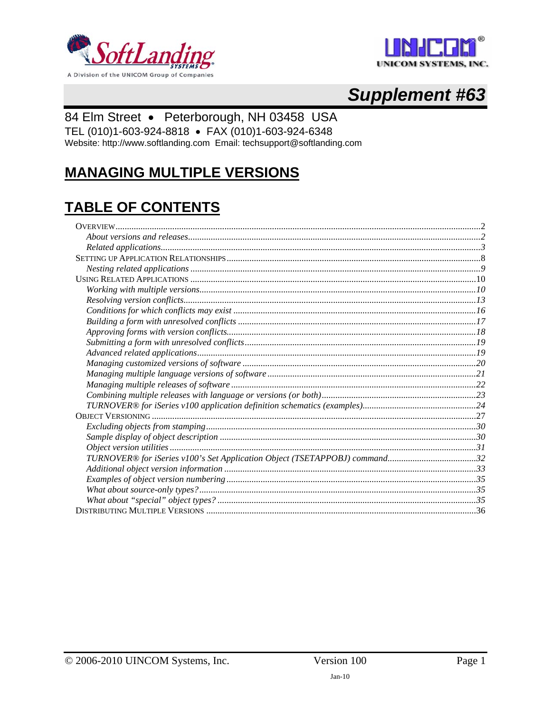



# **Supplement #63**

### 84 Elm Street · Peterborough, NH 03458 USA

TEL (010)1-603-924-8818 · FAX (010)1-603-924-6348

Website: http://www.softlanding.com Email: techsupport@softlanding.com

## **MANAGING MULTIPLE VERSIONS**

# **TABLE OF CONTENTS**

| TURNOVER® for iSeries v100's Set Application Object (TSETAPPOBJ) command32 |  |
|----------------------------------------------------------------------------|--|
|                                                                            |  |
|                                                                            |  |
|                                                                            |  |
|                                                                            |  |
|                                                                            |  |
|                                                                            |  |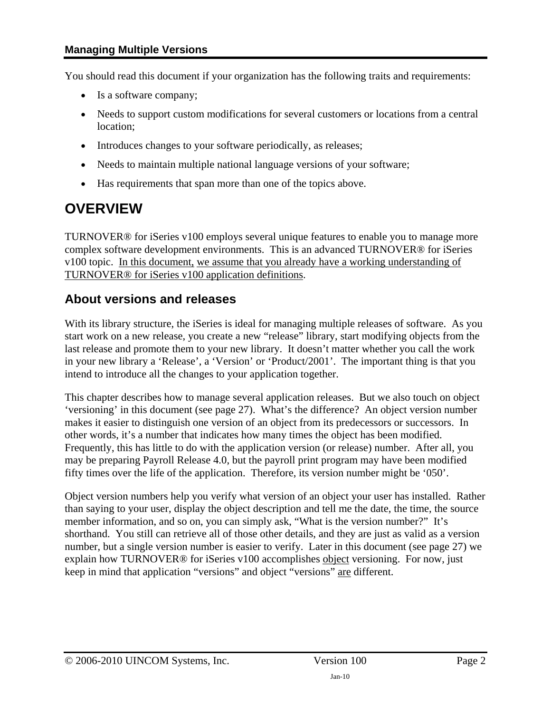#### <span id="page-1-0"></span>**Managing Multiple Versions**

You should read this document if your organization has the following traits and requirements:

- Is a software company;
- Needs to support custom modifications for several customers or locations from a central location;
- Introduces changes to your software periodically, as releases;
- Needs to maintain multiple national language versions of your software;
- Has requirements that span more than one of the topics above.

## <span id="page-1-1"></span>**OVERVIEW**

TURNOVER® for iSeries v100 employs several unique features to enable you to manage more complex software development environments. This is an advanced TURNOVER® for iSeries v100 topic. In this document, we assume that you already have a working understanding of TURNOVER® for iSeries v100 application definitions.

### <span id="page-1-2"></span>**About versions and releases**

With its library structure, the iSeries is ideal for managing multiple releases of software. As you start work on a new release, you create a new "release" library, start modifying objects from the last release and promote them to your new library. It doesn't matter whether you call the work in your new library a 'Release', a 'Version' or 'Product/2001'. The important thing is that you intend to introduce all the changes to your application together.

This chapter describes how to manage several application releases. But we also touch on object 'versioning' in this document (see page [27\)](#page-26-1). What's the difference? An object version number makes it easier to distinguish one version of an object from its predecessors or successors. In other words, it's a number that indicates how many times the object has been modified. Frequently, this has little to do with the application version (or release) number. After all, you may be preparing Payroll Release 4.0, but the payroll print program may have been modified fifty times over the life of the application. Therefore, its version number might be '050'.

Object version numbers help you verify what version of an object your user has installed. Rather than saying to your user, display the object description and tell me the date, the time, the source member information, and so on, you can simply ask, "What is the version number?" It's shorthand. You still can retrieve all of those other details, and they are just as valid as a version number, but a single version number is easier to verify. Later in this document (see page [27\)](#page-26-1) we explain how TURNOVER® for iSeries v100 accomplishes object versioning. For now, just keep in mind that application "versions" and object "versions" are different.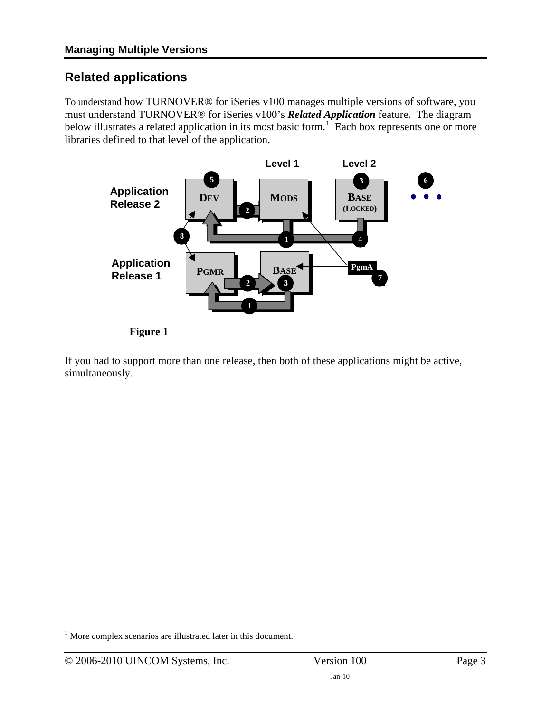### <span id="page-2-1"></span><span id="page-2-0"></span>**Related applications**

To understand how TURNOVER® for iSeries v100 manages multiple versions of software, you must understand TURNOVER® for iSeries v100's *Related Application* feature. The diagram below illustrates a related application in its most basic form.<sup>[1](#page-2-2)</sup> Each box represents one or more libraries defined to that level of the application.





If you had to support more than one release, then both of these applications might be active, simultaneously.

 $\overline{a}$ 

<span id="page-2-2"></span><sup>&</sup>lt;sup>1</sup> More complex scenarios are illustrated later in this document.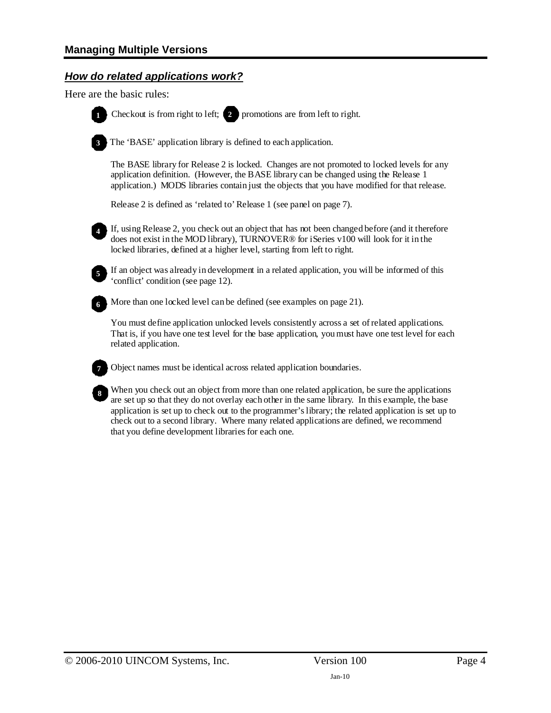### *How do related applications work?*

<span id="page-3-0"></span>Here are the basic rules:



**1** Checkout is from right to left; **2** promotions are from left to right.

The 'BASE' application library is defined to each application.

The BASE library for Release 2 is locked. Changes are not promoted to locked levels for any application definition. (However, the BASE library can be changed using the Release 1 application.) MODS libraries contain just the objects that you have modified for that release.

Release 2 is defined as 'related to' Release 1 (see panel on page 7).



If, using Release 2, you check out an object that has not been changed before (and it therefore does not exist in the MOD library), TURNOVER® for iSeries v100 will look for it in the locked libraries, defined at a higher level, starting from left to right.



If an object was already in development in a related application, you will be informed of this 'conflict' condition (see page 12).



More than one locked level can be defined (see examples on page 21).

You must define application unlocked levels consistently across a set of related applications. That is, if you have one test level for the base application, you must have one test level for each related application.



**7** Object names must be identical across related application boundaries.



When you check out an object from more than one related application, be sure the applications are set up so that they do not overlay each other in the same library. In this example, the base application is set up to check out to the programmer's library; the related application is set up to check out to a second library. Where many related applications are defined, we recommend that you define development libraries for each one.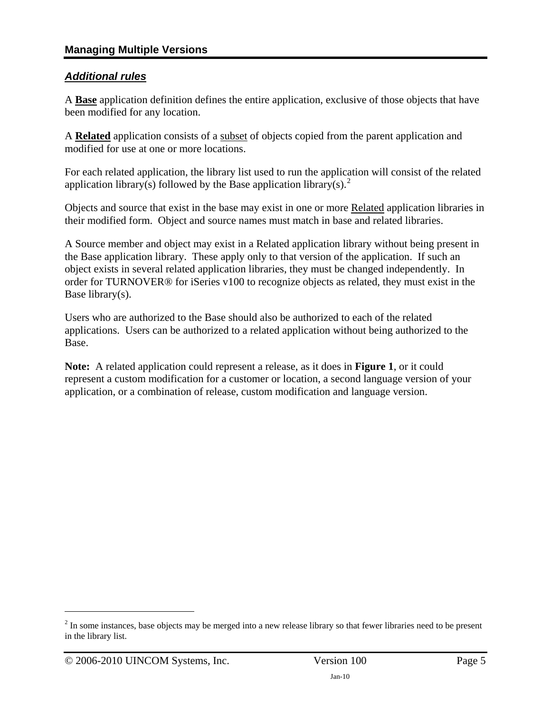### *Additional rules*

A **Base** application definition defines the entire application, exclusive of those objects that have been modified for any location.

A **Related** application consists of a subset of objects copied from the parent application and modified for use at one or more locations.

For each related application, the library list used to run the application will consist of the related application library(s) followed by the Base application library(s).<sup>[2](#page-4-0)</sup>

Objects and source that exist in the base may exist in one or more Related application libraries in their modified form. Object and source names must match in base and related libraries.

A Source member and object may exist in a Related application library without being present in the Base application library. These apply only to that version of the application. If such an object exists in several related application libraries, they must be changed independently. In order for TURNOVER® for iSeries v100 to recognize objects as related, they must exist in the Base library(s).

Users who are authorized to the Base should also be authorized to each of the related applications. Users can be authorized to a related application without being authorized to the Base.

**Note:** A related application could represent a release, as it does in **Figure 1**, or it could represent a custom modification for a customer or location, a second language version of your application, or a combination of release, custom modification and language version.

 $\overline{a}$ 

<span id="page-4-0"></span> $2<sup>2</sup>$  In some instances, base objects may be merged into a new release library so that fewer libraries need to be present in the library list.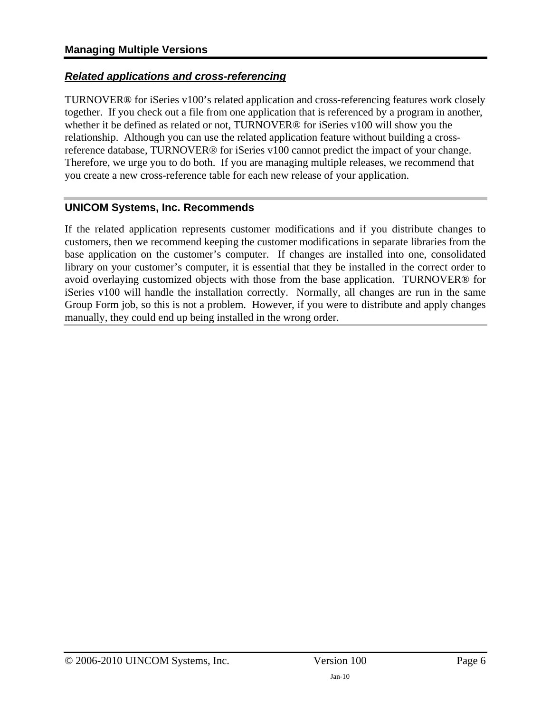### *Related applications and cross-referencing*

TURNOVER® for iSeries v100's related application and cross-referencing features work closely together. If you check out a file from one application that is referenced by a program in another, whether it be defined as related or not, TURNOVER® for iSeries v100 will show you the relationship. Although you can use the related application feature without building a crossreference database, TURNOVER® for iSeries v100 cannot predict the impact of your change. Therefore, we urge you to do both. If you are managing multiple releases, we recommend that you create a new cross-reference table for each new release of your application.

### **UNICOM Systems, Inc. Recommends**

If the related application represents customer modifications and if you distribute changes to customers, then we recommend keeping the customer modifications in separate libraries from the base application on the customer's computer. If changes are installed into one, consolidated library on your customer's computer, it is essential that they be installed in the correct order to avoid overlaying customized objects with those from the base application. TURNOVER® for iSeries v100 will handle the installation correctly. Normally, all changes are run in the same Group Form job, so this is not a problem. However, if you were to distribute and apply changes manually, they could end up being installed in the wrong order.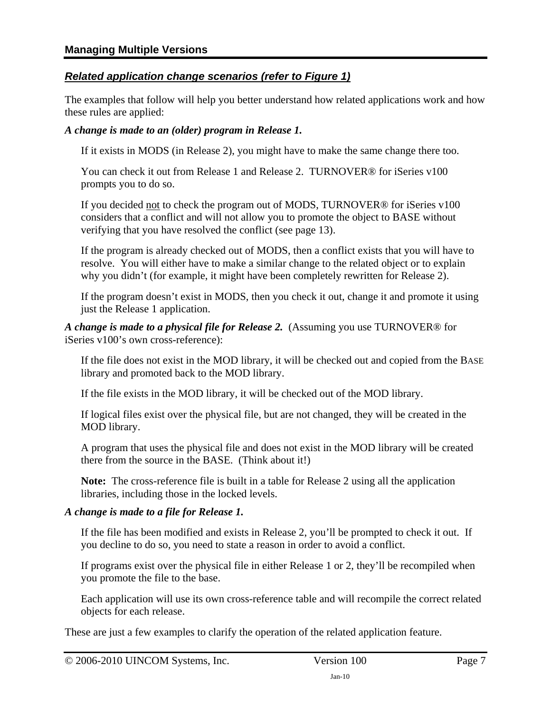### *Related application change scenarios (refer to Figure 1)*

The examples that follow will help you better understand how related applications work and how these rules are applied:

### *A change is made to an (older) program in Release 1.*

If it exists in MODS (in Release 2), you might have to make the same change there too.

You can check it out from Release 1 and Release 2. TURNOVER® for iSeries v100 prompts you to do so.

If you decided not to check the program out of MODS, TURNOVER® for iSeries v100 considers that a conflict and will not allow you to promote the object to BASE without verifying that you have resolved the conflict (see page [13](#page-12-1)).

If the program is already checked out of MODS, then a conflict exists that you will have to resolve. You will either have to make a similar change to the related object or to explain why you didn't (for example, it might have been completely rewritten for Release 2).

If the program doesn't exist in MODS, then you check it out, change it and promote it using just the Release 1 application.

*A change is made to a physical file for Release 2.* (Assuming you use TURNOVER® for iSeries v100's own cross-reference):

If the file does not exist in the MOD library, it will be checked out and copied from the BASE library and promoted back to the MOD library.

If the file exists in the MOD library, it will be checked out of the MOD library.

If logical files exist over the physical file, but are not changed, they will be created in the MOD library.

A program that uses the physical file and does not exist in the MOD library will be created there from the source in the BASE. (Think about it!)

**Note:** The cross-reference file is built in a table for Release 2 using all the application libraries, including those in the locked levels.

### *A change is made to a file for Release 1.*

If the file has been modified and exists in Release 2, you'll be prompted to check it out. If you decline to do so, you need to state a reason in order to avoid a conflict.

If programs exist over the physical file in either Release 1 or 2, they'll be recompiled when you promote the file to the base.

Each application will use its own cross-reference table and will recompile the correct related objects for each release.

These are just a few examples to clarify the operation of the related application feature.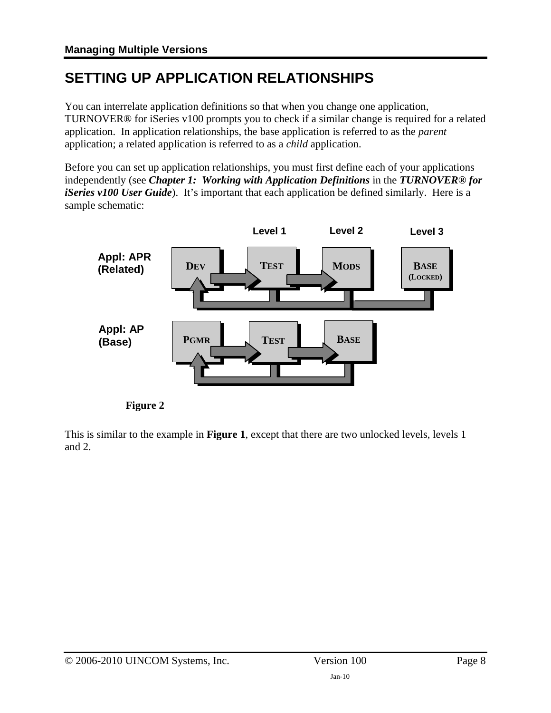# <span id="page-7-1"></span><span id="page-7-0"></span>**SETTING UP APPLICATION RELATIONSHIPS**

You can interrelate application definitions so that when you change one application, TURNOVER® for iSeries v100 prompts you to check if a similar change is required for a related application. In application relationships, the base application is referred to as the *parent* application; a related application is referred to as a *child* application.

Before you can set up application relationships, you must first define each of your applications independently (see *Chapter 1: Working with Application Definitions* in the *TURNOVER® for iSeries v100 User Guide*). It's important that each application be defined similarly. Here is a sample schematic:



**Figure 2** 

This is similar to the example in **Figure 1**, except that there are two unlocked levels, levels 1 and 2.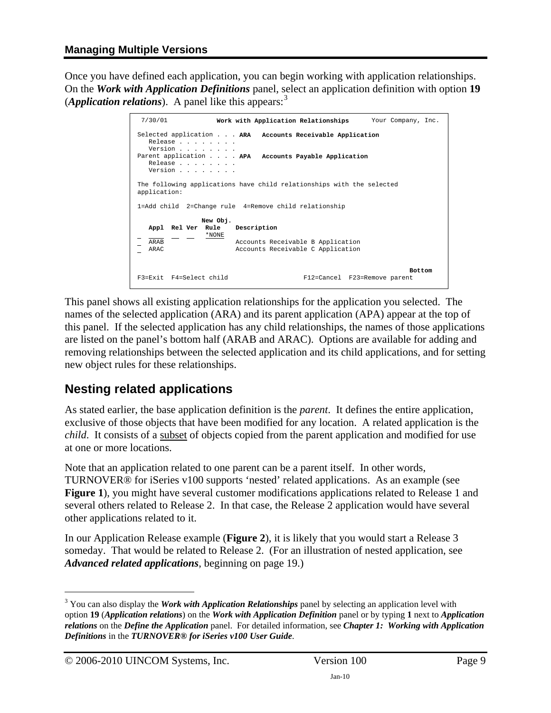<span id="page-8-0"></span>Once you have defined each application, you can begin working with application relationships. On the *Work with Application Definitions* panel, select an application definition with option **19** (*Application relations*). A panel like this appears:  $3$ 

```
 7/30/01 Work with Application Relationships Your Company, Inc. 
 Selected application . . . ARA Accounts Receivable Application 
   Release . . . . . .
   Version . . . . . . .
 Parent application . . . . APA Accounts Payable Application 
    Release . . . . . . . . 
    Version . . . . . . . . 
 The following applications have child relationships with the selected 
 application: 
 1=Add child 2=Change rule 4=Remove child relationship 
                New Obj. 
   Appl Rel Ver Rule
  \frac{1}{\Delta R \Delta R} - \frac{1}{\Delta R}Accounts Receivable B Application
   ARAC Accounts Receivable C Application
 Bottom 
 F3=Exit F4=Select child F12=Cancel F23=Remove parent
```
This panel shows all existing application relationships for the application you selected. The names of the selected application (ARA) and its parent application (APA) appear at the top of this panel. If the selected application has any child relationships, the names of those applications are listed on the panel's bottom half (ARAB and ARAC). Options are available for adding and removing relationships between the selected application and its child applications, and for setting new object rules for these relationships.

## <span id="page-8-1"></span>**Nesting related applications**

As stated earlier, the base application definition is the *parent*. It defines the entire application, exclusive of those objects that have been modified for any location. A related application is the *child*. It consists of a subset of objects copied from the parent application and modified for use at one or more locations.

Note that an application related to one parent can be a parent itself. In other words, TURNOVER® for iSeries v100 supports 'nested' related applications. As an example (see **Figure 1**), you might have several customer modifications applications related to Release 1 and several others related to Release 2. In that case, the Release 2 application would have several other applications related to it.

In our Application Release example (**Figure 2**), it is likely that you would start a Release 3 someday. That would be related to Release 2. (For an illustration of nested application, see *[Advanced related applications](#page-18-2)*, beginning on page [19.](#page-18-2))

<span id="page-8-2"></span> $\frac{1}{3}$ <sup>3</sup> You can also display the *Work with Application Relationships* panel by selecting an application level with option **19** (*Application relations*) on the *Work with Application Definition* panel or by typing **1** next to *Application relations* on the *Define the Application* panel. For detailed information, see *Chapter 1: Working with Application Definitions* in the *TURNOVER® for iSeries v100 User Guide*.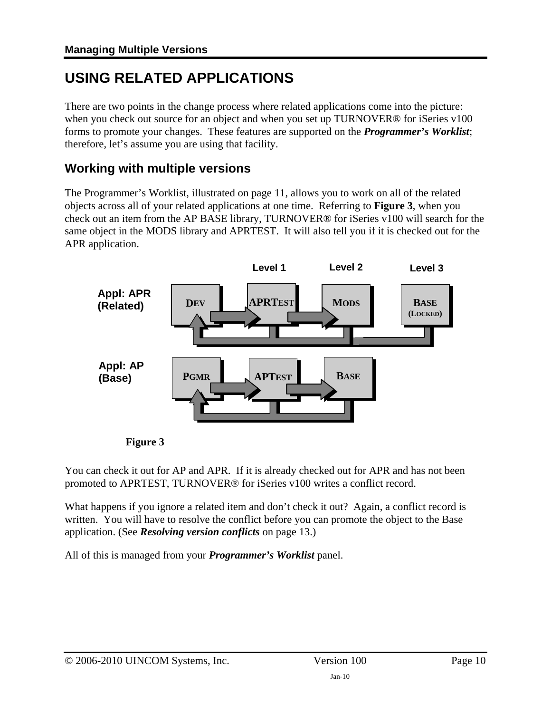# <span id="page-9-1"></span><span id="page-9-0"></span>**USING RELATED APPLICATIONS**

There are two points in the change process where related applications come into the picture: when you check out source for an object and when you set up TURNOVER® for iSeries v100 forms to promote your changes. These features are supported on the *Programmer's Worklist*; therefore, let's assume you are using that facility.

### <span id="page-9-2"></span>**Working with multiple versions**

The Programmer's Worklist, illustrated on page [11](#page-10-0), allows you to work on all of the related objects across all of your related applications at one time. Referring to **Figure 3**, when you check out an item from the AP BASE library, TURNOVER® for iSeries v100 will search for the same object in the MODS library and APRTEST. It will also tell you if it is checked out for the APR application.





You can check it out for AP and APR. If it is already checked out for APR and has not been promoted to APRTEST, TURNOVER® for iSeries v100 writes a conflict record.

What happens if you ignore a related item and don't check it out? Again, a conflict record is written. You will have to resolve the conflict before you can promote the object to the Base application. (See *[Resolving version conflicts](#page-12-1)* on page [13](#page-12-1).)

All of this is managed from your *Programmer's Worklist* panel.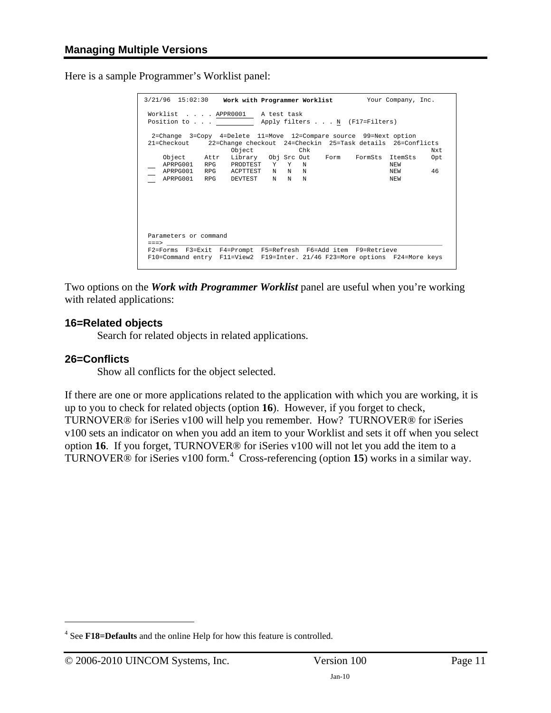<span id="page-10-0"></span>Here is a sample Programmer's Worklist panel:

| 3/21/96 15:02:30 Work with Programmer Worklist Your Company, Inc.                                                                                                       |                                                                                     |  |  |                         |  |
|-------------------------------------------------------------------------------------------------------------------------------------------------------------------------|-------------------------------------------------------------------------------------|--|--|-------------------------|--|
| Worklist APPR0001 A test task<br>Position to Apply filters N (F17=Filters)                                                                                              |                                                                                     |  |  |                         |  |
| 2=Change 3=Copy 4=Delete 11=Move 12=Compare source 99=Next option<br>22=Change checkout 24=Checkin 25=Task details 26=Conflicts<br>21=Checkout<br>Object<br>Chk<br>Nxt. |                                                                                     |  |  |                         |  |
|                                                                                                                                                                         | Object Attr Library Obj Src Out Form FormSts ItemSts<br>APRPG001 RPG PRODTEST Y Y N |  |  | Opt<br><b>NEW</b>       |  |
|                                                                                                                                                                         | APRPG001 RPG ACPTTEST N N N<br>APRPG001 RPG DEVTEST N N N                           |  |  | 46<br><b>NEW</b><br>NEW |  |
|                                                                                                                                                                         |                                                                                     |  |  |                         |  |
|                                                                                                                                                                         |                                                                                     |  |  |                         |  |
| Parameters or command<br>$=$ $=$ $>$                                                                                                                                    |                                                                                     |  |  |                         |  |
| F2=Forms F3=Exit F4=Prompt F5=Refresh F6=Add item F9=Retrieve<br>F10=Command entry F11=View2 F19=Inter. 21/46 F23=More options F24=More keys                            |                                                                                     |  |  |                         |  |

Two options on the *Work with Programmer Worklist* panel are useful when you're working with related applications:

#### **16=Related objects**

Search for related objects in related applications.

#### **26=Conflicts**

1

Show all conflicts for the object selected.

If there are one or more applications related to the application with which you are working, it is up to you to check for related objects (option **16**). However, if you forget to check, TURNOVER® for iSeries v100 will help you remember. How? TURNOVER® for iSeries v100 sets an indicator on when you add an item to your Worklist and sets it off when you select option **16**. If you forget, TURNOVER® for iSeries v100 will not let you add the item to a TURNOVER<sup>®</sup> for iSeries v100 form.<sup>[4](#page-10-1)</sup> Cross-referencing (option 15) works in a similar way.

<span id="page-10-1"></span><sup>4</sup> See **F18=Defaults** and the online Help for how this feature is controlled.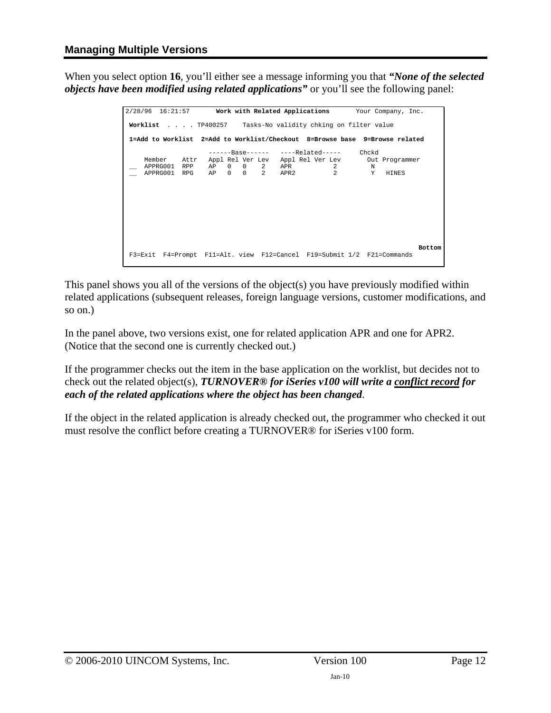When you select option **16**, you'll either see a message informing you that *"None of the selected objects have been modified using related applications"* or you'll see the following panel:

```
2/28/96 16:21:57 Work with Related Applications Your Company, Inc. 
                                                                                                      Π
 Worklist . . . . TP400257 Tasks-No validity chking on filter value 
  1=Add to Worklist 2=Add to Worklist/Checkout 8=Browse base 9=Browse related 
 ------Base------ ----Related----- Chckd 
 Member Attr Appl Rel Ver Lev Appl Rel Ver Lev Out Programmer 
 __ APPRG001 RPP AP 0 0 2 APR 2 N 
 __ APPRG001 RPG AP 0 0 2 APR2 2 Y HINES 
                                                                                               Bottom 
  F3=Exit F4=Prompt F11=Alt. view F12=Cancel F19=Submit 1/2 F21=Commands
```
This panel shows you all of the versions of the object(s) you have previously modified within related applications (subsequent releases, foreign language versions, customer modifications, and so on.)

In the panel above, two versions exist, one for related application APR and one for APR2. (Notice that the second one is currently checked out.)

If the programmer checks out the item in the base application on the worklist, but decides not to check out the related object(s), *TURNOVER® for iSeries v100 will write a conflict record for each of the related applications where the object has been changed*.

If the object in the related application is already checked out, the programmer who checked it out must resolve the conflict before creating a TURNOVER® for iSeries v100 form.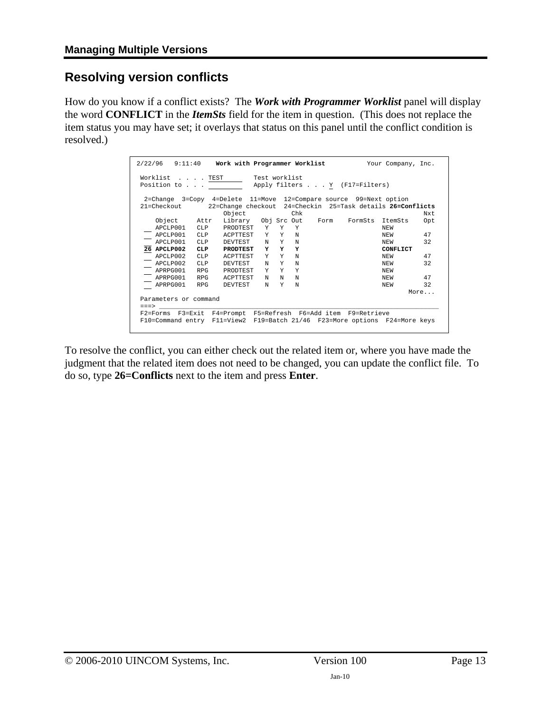### <span id="page-12-1"></span><span id="page-12-0"></span>**Resolving version conflicts**

How do you know if a conflict exists? The *Work with Programmer Worklist* panel will display the word **CONFLICT** in the *ItemSts* field for the item in question. (This does not replace the item status you may have set; it overlays that status on this panel until the conflict condition is resolved.)

| $2/22/96$ $9:11:40$                                                         | Work with Programmer Worklist                              |     |     |  |         | Your Company, Inc. |      |
|-----------------------------------------------------------------------------|------------------------------------------------------------|-----|-----|--|---------|--------------------|------|
| Worklist TEST<br>Test worklist<br>Position to Apply filters Y (F17=Filters) |                                                            |     |     |  |         |                    |      |
| 2=Change 3=Copy 4=Delete 11=Move 12=Compare source 99=Next option           |                                                            |     |     |  |         |                    |      |
| 21=Checkout                                                                 | 22=Change checkout 24=Checkin 25=Task details 26=Conflicts |     |     |  |         |                    |      |
|                                                                             | Object                                                     |     | Chk |  |         |                    | Nxt. |
| Object Attr                                                                 | Library Obj Src Out Form                                   |     |     |  | FormSts | ItemSts            | Opt  |
| APCLP001 CLP                                                                | PRODTEST Y Y Y                                             |     |     |  |         | <b>NEW</b>         |      |
| APCLP001<br><b>CLP</b>                                                      | ACPTTEST                                                   | Y Y | N   |  |         | <b>NEW</b>         | 47   |
| APCLP001<br><b>CLP</b>                                                      | N<br>DEVTEST                                               | Y   | N   |  |         | <b>NEW</b>         | 32   |
| 26 APCLP002<br><b>CLP</b>                                                   | Y<br><b>PRODTEST</b>                                       | Y   | Y   |  |         | CONFLICT           |      |
| APCLP002<br><b>CLP</b>                                                      | Y<br><b>ACPTTEST</b>                                       | Y   | N   |  |         | <b>NEW</b>         | 47   |
| APCLP002<br>CT.P                                                            | N<br>DEVTEST                                               | Y   | N   |  |         | NEW                | 32   |
| APRPG001<br><b>RPG</b>                                                      | PRODTEST<br>Y                                              | Y   | Y   |  |         | NEW                |      |
| APRPG001<br><b>RPG</b>                                                      | <b>ACPTTEST</b><br>N                                       | N   | N   |  |         | NEW                | 47   |
| APRPG001<br><b>RPG</b>                                                      | N<br>DEVTEST                                               | Y   | N   |  |         | NEW                | 32   |
|                                                                             |                                                            |     |     |  |         |                    | More |
| Parameters or command                                                       |                                                            |     |     |  |         |                    |      |
|                                                                             |                                                            |     |     |  |         |                    |      |
| $=$ = $=$ >                                                                 |                                                            |     |     |  |         |                    |      |
| F2=Forms F3=Exit F4=Prompt F5=Refresh F6=Add item F9=Retrieve               |                                                            |     |     |  |         |                    |      |
| F10=Command entry F11=View2 F19=Batch 21/46 F23=More options F24=More keys  |                                                            |     |     |  |         |                    |      |

To resolve the conflict, you can either check out the related item or, where you have made the judgment that the related item does not need to be changed, you can update the conflict file. To do so, type **26=Conflicts** next to the item and press **Enter**.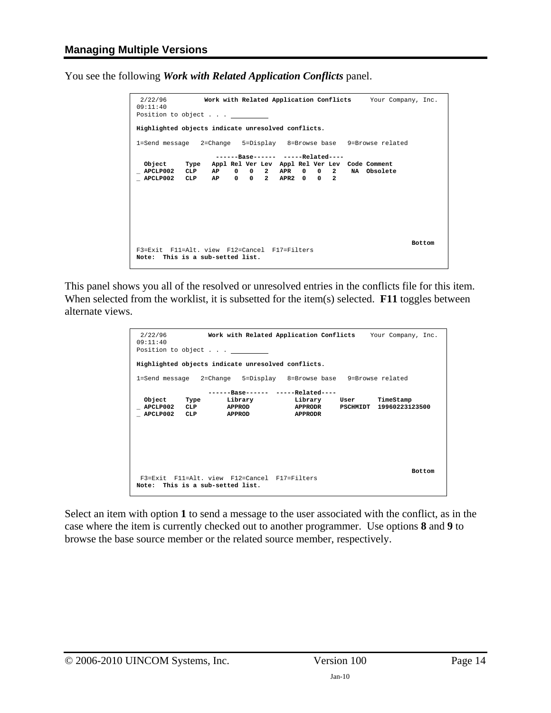<span id="page-13-0"></span>You see the following *Work with Related Application Conflicts* panel.

```
 2/22/96 Work with Related Application Conflicts Your Company, Inc. 
09:11:40 
Position to object . . . _

Highlighted objects indicate unresolved conflicts. 
1=Send message 2=Change 5=Display 8=Browse base 9=Browse related 
                      ------Base------ -----Related---- 
 Object Type Appl Rel Ver Lev Appl Rel Ver Lev Code Comment 
_ APCLP002 CLP AP 0 0 2 APR 0 0 2 NA Obsolete 
_ APCLP002 CLP AP 0 0 2 APR2 0 0 2 
 Bottom 
F3=Exit F11=Alt. view F12=Cancel F17=Filters 
Note: This is a sub-setted list.
```
This panel shows you all of the resolved or unresolved entries in the conflicts file for this item. When selected from the worklist, it is subsetted for the item(s) selected. **F11** toggles between alternate views.

```
 2/22/96 Work with Related Application Conflicts Your Company, Inc. 
09:11:40 
Position to object . . . _

Highlighted objects indicate unresolved conflicts. 
1=Send message 2=Change 5=Display 8=Browse base 9=Browse related 
                   ------Base------ -----Related---- 
Object Type Library Library User TimeStamp<br>_APCLP002 CLP APPROD APPRODR PSCHMIDT 19960223123500<br>_APCLP002 CLP APPROD APPRODR
Bottom Bottom
  F3=Exit F11=Alt. view F12=Cancel F17=Filters 
Note: This is a sub-setted list.
```
Select an item with option **1** to send a message to the user associated with the conflict, as in the case where the item is currently checked out to another programmer. Use options **8** and **9** to browse the base source member or the related source member, respectively.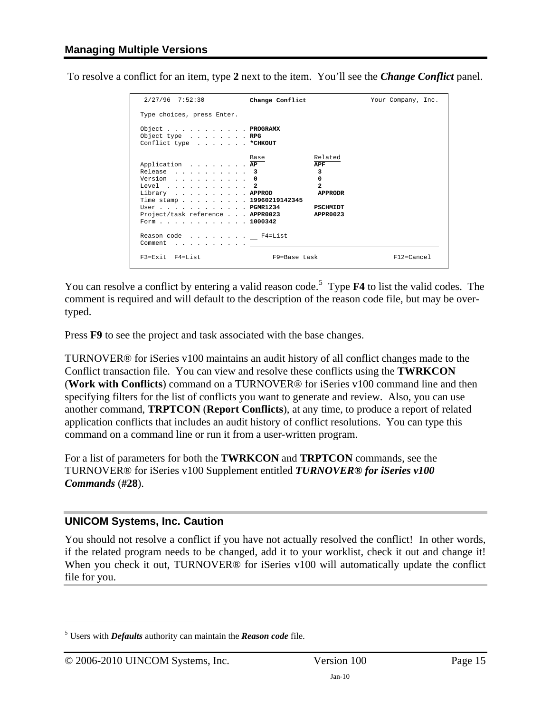To resolve a conflict for an item, type **2** next to the item. You'll see the *Change Conflict* panel.

| 2/27/96 7:52:30                                                                                                                                                                                                                                                | Change Conflict                                                                | Your Company, Inc. |  |  |  |  |
|----------------------------------------------------------------------------------------------------------------------------------------------------------------------------------------------------------------------------------------------------------------|--------------------------------------------------------------------------------|--------------------|--|--|--|--|
| Type choices, press Enter.                                                                                                                                                                                                                                     |                                                                                |                    |  |  |  |  |
| Object PROGRAMX<br>Object type $\ldots$ $\ldots$ $\ldots$ RPG<br>Conflict type * CHKOUT                                                                                                                                                                        |                                                                                |                    |  |  |  |  |
| Application AP<br>Release 3<br>Version $\ldots$ , $\ldots$ , $\ldots$ , 0<br>Level $\ldots$ 2<br>Library APPROD<br>Time stamp 19960219142345<br>$User \ldots \ldots \ldots \ldots \ldots PGMR1234$<br>Project/task reference APPR0023 APPR0023<br>Form 1000342 | Related<br>Base<br>APF<br>3<br>0<br>$\mathbf{z}$<br><b>APPRODR</b><br>PSCHMIDT |                    |  |  |  |  |
| Reason code F4=List<br>Comment                                                                                                                                                                                                                                 |                                                                                |                    |  |  |  |  |
| $F3 = Fx i + F4 = Li s +$                                                                                                                                                                                                                                      | F9=Base task                                                                   | $F12 = Cancel$     |  |  |  |  |

You can resolve a conflict by entering a valid reason code.<sup>[5](#page-14-0)</sup> Type **F4** to list the valid codes. The comment is required and will default to the description of the reason code file, but may be overtyped.

Press **F9** to see the project and task associated with the base changes.

TURNOVER® for iSeries v100 maintains an audit history of all conflict changes made to the Conflict transaction file. You can view and resolve these conflicts using the **TWRKCON**  (**Work with Conflicts**) command on a TURNOVER® for iSeries v100 command line and then specifying filters for the list of conflicts you want to generate and review. Also, you can use another command, **TRPTCON** (**Report Conflicts**), at any time, to produce a report of related application conflicts that includes an audit history of conflict resolutions. You can type this command on a command line or run it from a user-written program.

For a list of parameters for both the **TWRKCON** and **TRPTCON** commands, see the TURNOVER® for iSeries v100 Supplement entitled *TURNOVER® for iSeries v100 Commands* (**#28**).

### **UNICOM Systems, Inc. Caution**

You should not resolve a conflict if you have not actually resolved the conflict! In other words, if the related program needs to be changed, add it to your worklist, check it out and change it! When you check it out, TURNOVER<sup>®</sup> for iSeries v100 will automatically update the conflict file for you.

<span id="page-14-0"></span><sup>5</sup> Users with *Defaults* authority can maintain the *Reason code* file.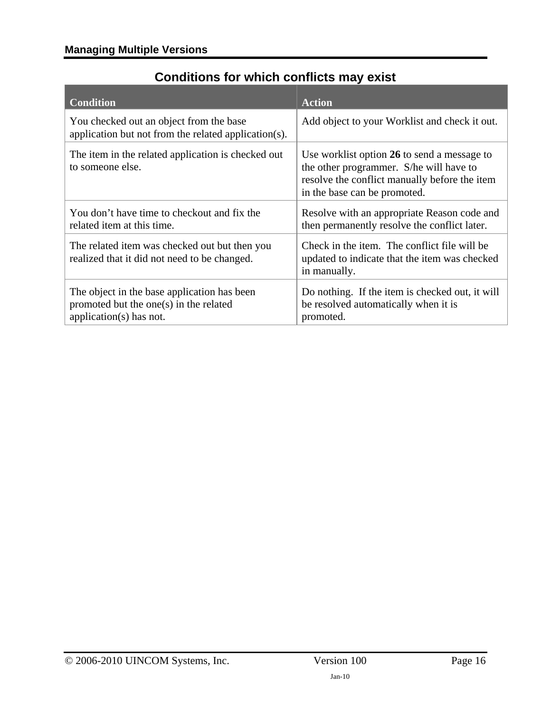# **Conditions for which conflicts may exist**

<span id="page-15-1"></span><span id="page-15-0"></span>

| <b>Condition</b>                                                                                                        | <b>Action</b>                                                                                                                                                           |
|-------------------------------------------------------------------------------------------------------------------------|-------------------------------------------------------------------------------------------------------------------------------------------------------------------------|
| You checked out an object from the base<br>application but not from the related application(s).                         | Add object to your Worklist and check it out.                                                                                                                           |
| The item in the related application is checked out<br>to someone else.                                                  | Use worklist option 26 to send a message to<br>the other programmer. S/he will have to<br>resolve the conflict manually before the item<br>in the base can be promoted. |
| You don't have time to checkout and fix the<br>related item at this time.                                               | Resolve with an appropriate Reason code and<br>then permanently resolve the conflict later.                                                                             |
| The related item was checked out but then you<br>realized that it did not need to be changed.                           | Check in the item. The conflict file will be<br>updated to indicate that the item was checked<br>in manually.                                                           |
| The object in the base application has been<br>promoted but the one $(s)$ in the related<br>application( $s$ ) has not. | Do nothing. If the item is checked out, it will<br>be resolved automatically when it is<br>promoted.                                                                    |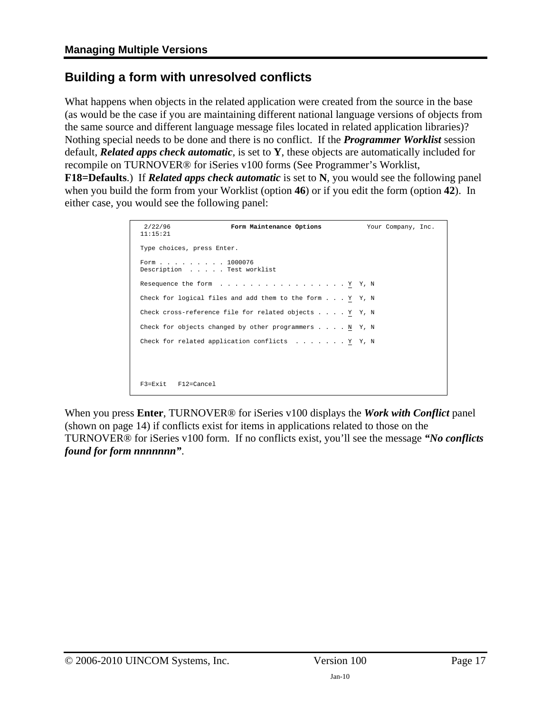### <span id="page-16-1"></span><span id="page-16-0"></span>**Building a form with unresolved conflicts**

What happens when objects in the related application were created from the source in the base (as would be the case if you are maintaining different national language versions of objects from the same source and different language message files located in related application libraries)? Nothing special needs to be done and there is no conflict. If the *Programmer Worklist* session default, *Related apps check automatic*, is set to **Y**, these objects are automatically included for recompile on TURNOVER® for iSeries v100 forms (See Programmer's Worklist,

**F18=Defaults**.) If *Related apps check automatic* is set to **N**, you would see the following panel when you build the form from your Worklist (option **46**) or if you edit the form (option **42**). In either case, you would see the following panel:

```
 2/22/96 Form Maintenance Options Your Company, Inc.
 11:15:21
 Type choices, press Enter.
 Form . . . . . . . . . 1000076
 Description . . . . . Test worklist
Resequence the form . . . . . . . . . . . . . . . . Y Y, N
 Check for logical files and add them to the form . . . Y Y, N
Check cross-reference file for related objects . . . . \underline{Y} Y, N
Check for objects changed by other programmers . . . . \underline{N} Y, N
Check for related application conflicts . . . . . . . Y Y, N
 F3=Exit F12=Cancel
```
When you press **Enter**, TURNOVER® for iSeries v100 displays the *Work with Conflict* panel (shown on page [14](#page-13-0)) if conflicts exist for items in applications related to those on the TURNOVER® for iSeries v100 form. If no conflicts exist, you'll see the message *"No conflicts found for form nnnnnnn"*.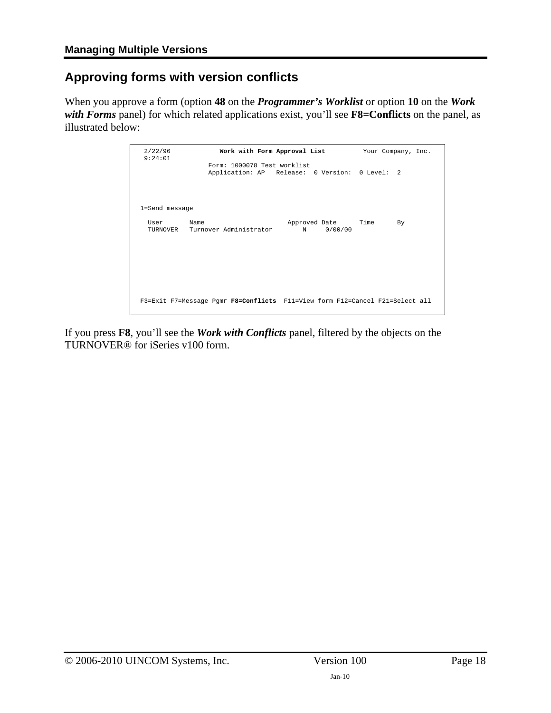## <span id="page-17-1"></span><span id="page-17-0"></span>**Approving forms with version conflicts**

When you approve a form (option **48** on the *Programmer's Worklist* or option **10** on the *Work with Forms* panel) for which related applications exist, you'll see **F8=Conflicts** on the panel, as illustrated below:

| 2/22/96<br>9:24:01 | Work with Form Approval List                                                 |                                                | Your Company, Inc. |
|--------------------|------------------------------------------------------------------------------|------------------------------------------------|--------------------|
|                    | Form: 1000078 Test worklist                                                  | Application: AP Release: 0 Version: 0 Level: 2 |                    |
| 1=Send message     |                                                                              |                                                |                    |
| User<br>TURNOVER   | Name<br>Turnover Administrator                                               | Approved Date<br>0/00/00<br>N                  | Time<br>By.        |
|                    | F3=Exit F7=Message Pqmr F8=Conflicts F11=View form F12=Cancel F21=Select all |                                                |                    |

If you press **F8**, you'll see the *Work with Conflicts* panel, filtered by the objects on the TURNOVER® for iSeries v100 form.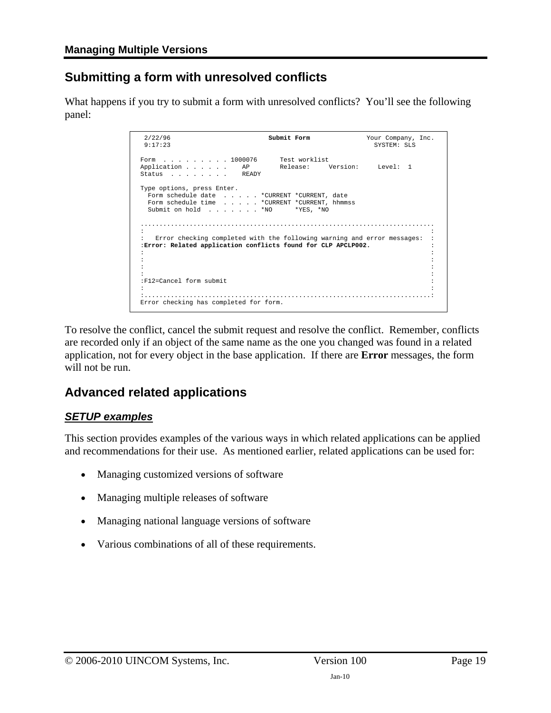### <span id="page-18-1"></span><span id="page-18-0"></span>**Submitting a form with unresolved conflicts**

What happens if you try to submit a form with unresolved conflicts? You'll see the following panel:

```
 2/22/96 Submit Form Your Company, Inc. 
                                                         SYSTEM: SLS
Form . . . . . . . . 1000076 Test worklist<br>Application . . . . . AP Release: Version:
Application . . . . . AP Release: Version: Level: 1<br>Status . . . . . . . READY
 Type options, press Enter. 
 Form schedule date . . . . . *CURRENT *CURRENT, date 
 Form schedule time . . . . . *CURRENT *CURRENT, hhmmss 
  \begin{tabular}{lllllllll} \multicolumn{2}{l}{{\bf Submit}} & {\bf on \ hold} & . & . & . & . & . & {\bf *NO} & & {\bf *YES, \ & $\ast$NO} \\ \end{tabular} .............................................................................. 
 : : 
 : Error checking completed with the following warning and error messages: : 
 :Error: Related application conflicts found for CLP APCLP002. : 
 : : 
 : : 
 : : 
 : : 
 :F12=Cancel form submit : 
is the contract of the contract of the contract of the contract of the contract of the contract of the contract
 :............................................................................: 
 Error checking has completed for form.
```
To resolve the conflict, cancel the submit request and resolve the conflict. Remember, conflicts are recorded only if an object of the same name as the one you changed was found in a related application, not for every object in the base application. If there are **Error** messages, the form will not be run.

### <span id="page-18-2"></span>**Advanced related applications**

### *SETUP examples*

This section provides examples of the various ways in which related applications can be applied and recommendations for their use. As mentioned earlier, related applications can be used for:

- Managing customized versions of software
- Managing multiple releases of software
- Managing national language versions of software
- Various combinations of all of these requirements.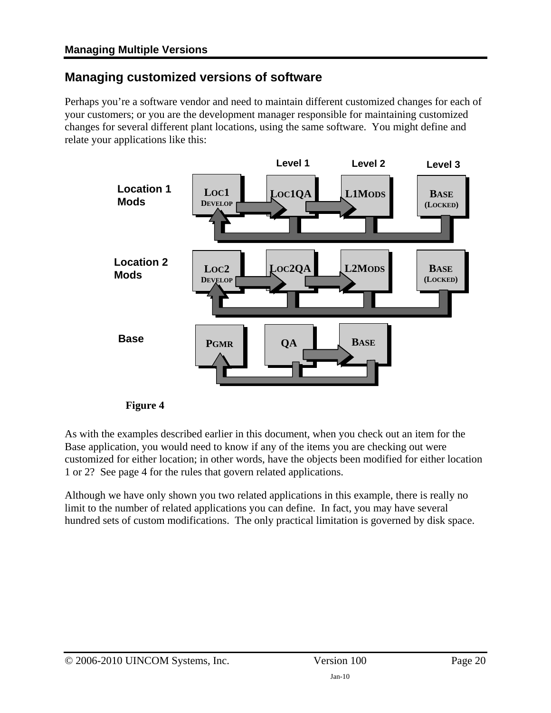### <span id="page-19-1"></span><span id="page-19-0"></span>**Managing customized versions of software**

Perhaps you're a software vendor and need to maintain different customized changes for each of your customers; or you are the development manager responsible for maintaining customized changes for several different plant locations, using the same software. You might define and relate your applications like this:



#### **Figure 4**

As with the examples described earlier in this document, when you check out an item for the Base application, you would need to know if any of the items you are checking out were customized for either location; in other words, have the objects been modified for either location 1 or 2? See page [4](#page-3-0) for the rules that govern related applications.

Although we have only shown you two related applications in this example, there is really no limit to the number of related applications you can define. In fact, you may have several hundred sets of custom modifications. The only practical limitation is governed by disk space.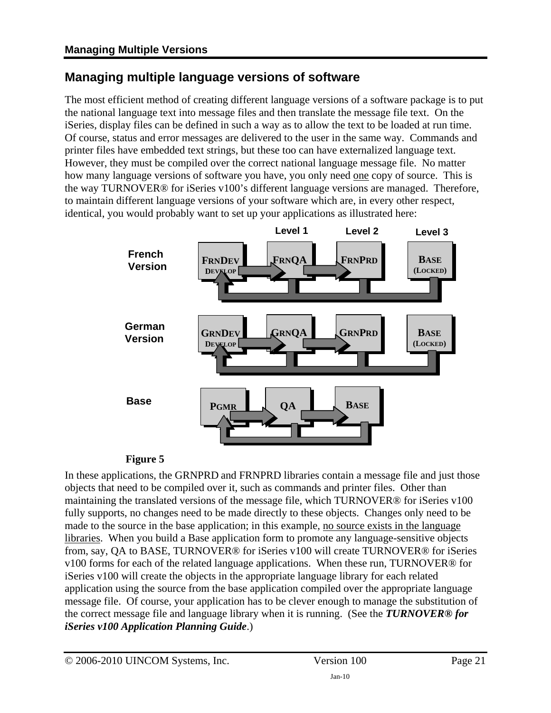### <span id="page-20-1"></span><span id="page-20-0"></span>**Managing multiple language versions of software**

The most efficient method of creating different language versions of a software package is to put the national language text into message files and then translate the message file text. On the iSeries, display files can be defined in such a way as to allow the text to be loaded at run time. Of course, status and error messages are delivered to the user in the same way. Commands and printer files have embedded text strings, but these too can have externalized language text. However, they must be compiled over the correct national language message file. No matter how many language versions of software you have, you only need one copy of source. This is the way TURNOVER® for iSeries v100's different language versions are managed. Therefore, to maintain different language versions of your software which are, in every other respect, identical, you would probably want to set up your applications as illustrated here:



### **Figure 5**

In these applications, the GRNPRD and FRNPRD libraries contain a message file and just those objects that need to be compiled over it, such as commands and printer files. Other than maintaining the translated versions of the message file, which TURNOVER® for iSeries v100 fully supports, no changes need to be made directly to these objects. Changes only need to be made to the source in the base application; in this example, no source exists in the language libraries. When you build a Base application form to promote any language-sensitive objects from, say, QA to BASE, TURNOVER® for iSeries v100 will create TURNOVER® for iSeries v100 forms for each of the related language applications. When these run, TURNOVER® for iSeries v100 will create the objects in the appropriate language library for each related application using the source from the base application compiled over the appropriate language message file. Of course, your application has to be clever enough to manage the substitution of the correct message file and language library when it is running. (See the *TURNOVER® for iSeries v100 Application Planning Guide*.)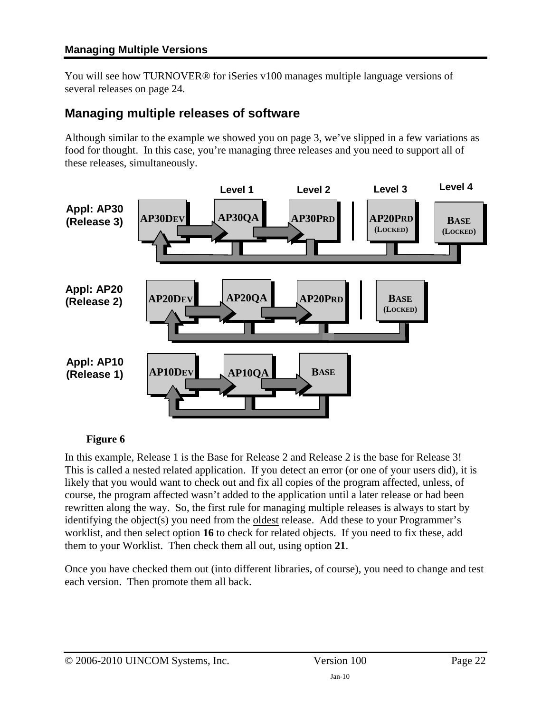<span id="page-21-0"></span>You will see how TURNOVER® for iSeries v100 manages multiple language versions of several releases on page [24.](#page-23-1)

### <span id="page-21-1"></span>**Managing multiple releases of software**

Although similar to the example we showed you on page [3,](#page-2-1) we've slipped in a few variations as food for thought. In this case, you're managing three releases and you need to support all of these releases, simultaneously.



### **Figure 6**

In this example, Release 1 is the Base for Release 2 and Release 2 is the base for Release 3! This is called a nested related application. If you detect an error (or one of your users did), it is likely that you would want to check out and fix all copies of the program affected, unless, of course, the program affected wasn't added to the application until a later release or had been rewritten along the way. So, the first rule for managing multiple releases is always to start by identifying the object(s) you need from the oldest release. Add these to your Programmer's worklist, and then select option **16** to check for related objects. If you need to fix these, add them to your Worklist. Then check them all out, using option **21**.

Once you have checked them out (into different libraries, of course), you need to change and test each version. Then promote them all back.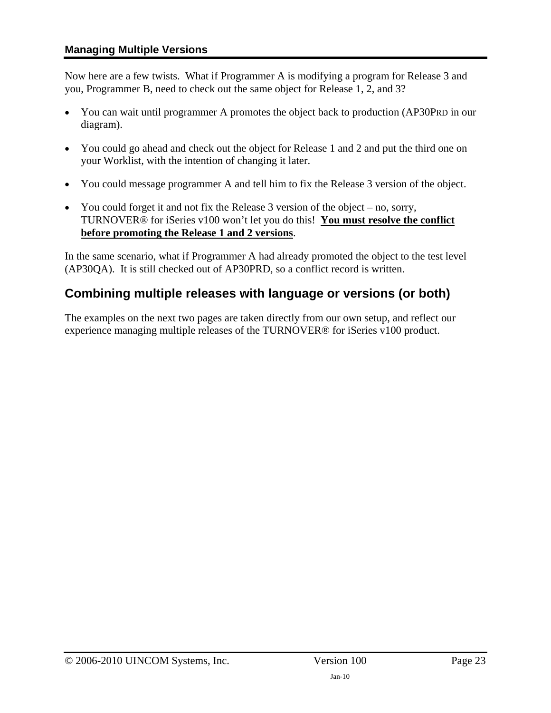<span id="page-22-0"></span>Now here are a few twists. What if Programmer A is modifying a program for Release 3 and you, Programmer B, need to check out the same object for Release 1, 2, and 3?

- You can wait until programmer A promotes the object back to production (AP30PRD in our diagram).
- You could go ahead and check out the object for Release 1 and 2 and put the third one on your Worklist, with the intention of changing it later.
- You could message programmer A and tell him to fix the Release 3 version of the object.
- You could forget it and not fix the Release 3 version of the object no, sorry, TURNOVER® for iSeries v100 won't let you do this! **You must resolve the conflict before promoting the Release 1 and 2 versions**.

In the same scenario, what if Programmer A had already promoted the object to the test level (AP30QA). It is still checked out of AP30PRD, so a conflict record is written.

### <span id="page-22-1"></span>**Combining multiple releases with language or versions (or both)**

The examples on the next two pages are taken directly from our own setup, and reflect our experience managing multiple releases of the TURNOVER® for iSeries v100 product.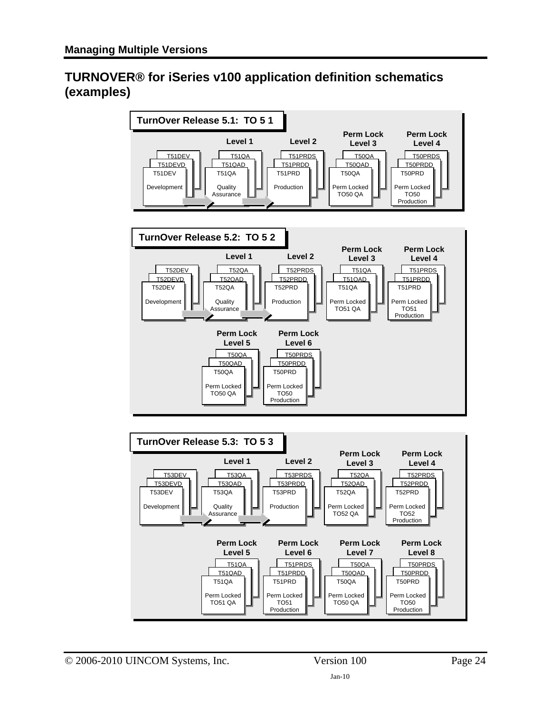### <span id="page-23-1"></span><span id="page-23-0"></span>**TURNOVER® for iSeries v100 application definition schematics (examples)**

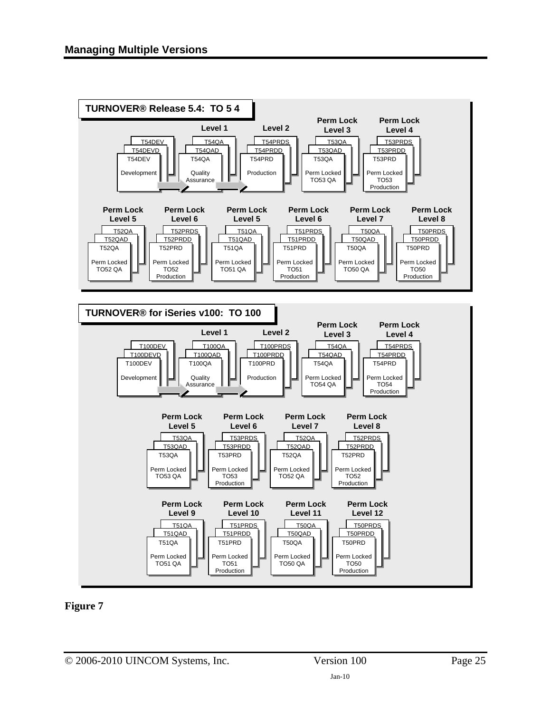



<span id="page-24-0"></span>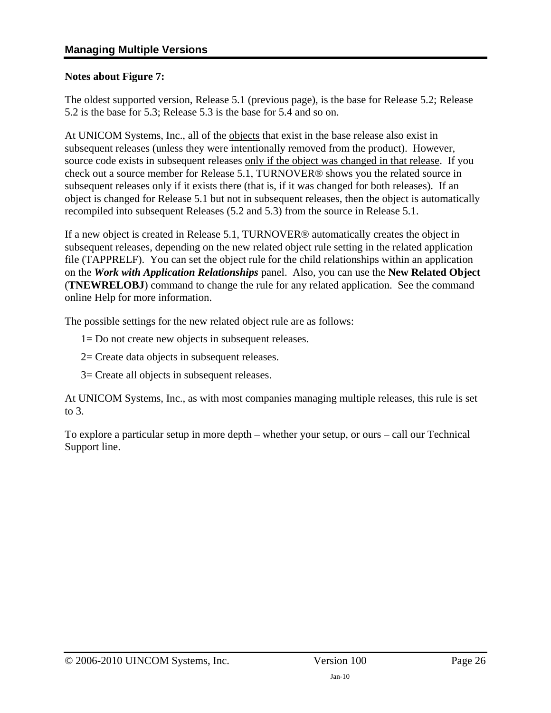#### **Notes about [Figure 7](#page-24-0):**

The oldest supported version, Release 5.1 (previous page), is the base for Release 5.2; Release 5.2 is the base for 5.3; Release 5.3 is the base for 5.4 and so on.

At UNICOM Systems, Inc., all of the objects that exist in the base release also exist in subsequent releases (unless they were intentionally removed from the product). However, source code exists in subsequent releases only if the object was changed in that release. If you check out a source member for Release 5.1, TURNOVER® shows you the related source in subsequent releases only if it exists there (that is, if it was changed for both releases). If an object is changed for Release 5.1 but not in subsequent releases, then the object is automatically recompiled into subsequent Releases (5.2 and 5.3) from the source in Release 5.1.

If a new object is created in Release 5.1, TURNOVER® automatically creates the object in subsequent releases, depending on the new related object rule setting in the related application file (TAPPRELF). You can set the object rule for the child relationships within an application on the *Work with Application Relationships* panel. Also, you can use the **New Related Object**  (**TNEWRELOBJ**) command to change the rule for any related application. See the command online Help for more information.

The possible settings for the new related object rule are as follows:

1= Do not create new objects in subsequent releases.

2= Create data objects in subsequent releases.

3= Create all objects in subsequent releases.

At UNICOM Systems, Inc., as with most companies managing multiple releases, this rule is set to 3.

To explore a particular setup in more depth – whether your setup, or ours – call our Technical Support line.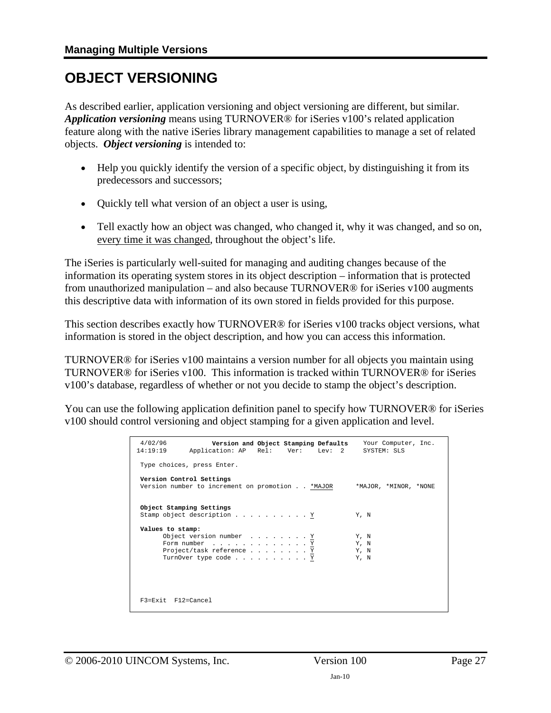# <span id="page-26-1"></span><span id="page-26-0"></span>**OBJECT VERSIONING**

As described earlier, application versioning and object versioning are different, but similar. *Application versioning* means using TURNOVER® for iSeries v100's related application feature along with the native iSeries library management capabilities to manage a set of related objects. *Object versioning* is intended to:

- Help you quickly identify the version of a specific object, by distinguishing it from its predecessors and successors;
- Quickly tell what version of an object a user is using,
- Tell exactly how an object was changed, who changed it, why it was changed, and so on, every time it was changed, throughout the object's life.

The iSeries is particularly well-suited for managing and auditing changes because of the information its operating system stores in its object description – information that is protected from unauthorized manipulation – and also because TURNOVER® for iSeries v100 augments this descriptive data with information of its own stored in fields provided for this purpose.

This section describes exactly how TURNOVER® for iSeries v100 tracks object versions, what information is stored in the object description, and how you can access this information.

TURNOVER® for iSeries v100 maintains a version number for all objects you maintain using TURNOVER® for iSeries v100. This information is tracked within TURNOVER® for iSeries v100's database, regardless of whether or not you decide to stamp the object's description.

You can use the following application definition panel to specify how TURNOVER® for iSeries v100 should control versioning and object stamping for a given application and level.

| 4/02/96<br>14:19:19                                    |                                                                                                       | Application: AP Rel: Ver: Lev: 2                | Version and Object Stamping Defaults Your Computer, Inc.<br>SYSTEM: SLS |  |
|--------------------------------------------------------|-------------------------------------------------------------------------------------------------------|-------------------------------------------------|-------------------------------------------------------------------------|--|
| Type choices, press Enter.                             |                                                                                                       |                                                 |                                                                         |  |
| Version Control Settings                               |                                                                                                       | Version number to increment on promotion *MAJOR | *MAJOR, *MINOR, *NONE                                                   |  |
| Object Stamping Settings<br>Stamp object description Y |                                                                                                       |                                                 | Y. N                                                                    |  |
| Values to stamp:                                       | Object version number Y<br>Form number $\ldots$ Y<br>Project/task reference Y<br>TurnOver type code Y |                                                 | Y, N<br>Y, N<br>Y, N<br>Y, N                                            |  |
| $F3 = Fx$ it $F12 = Cancel$                            |                                                                                                       |                                                 |                                                                         |  |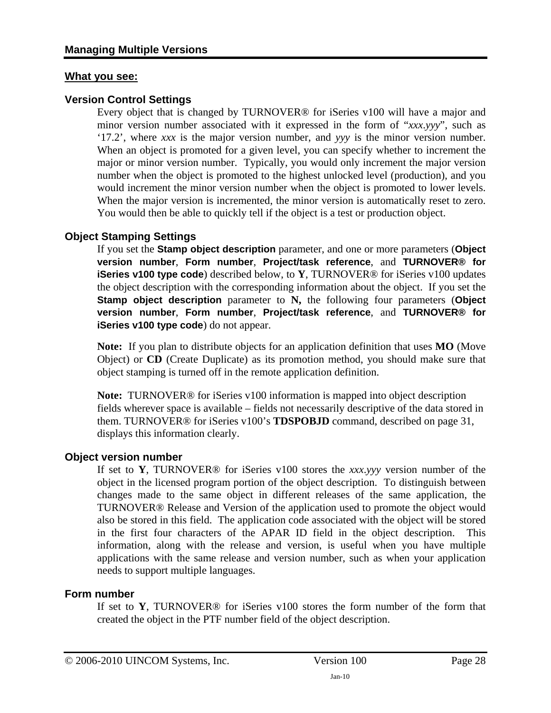### **What you see:**

### **Version Control Settings**

Every object that is changed by TURNOVER® for iSeries v100 will have a major and minor version number associated with it expressed in the form of "*xxx*.*yyy*", such as '17.2', where *xxx* is the major version number, and *yyy* is the minor version number. When an object is promoted for a given level, you can specify whether to increment the major or minor version number. Typically, you would only increment the major version number when the object is promoted to the highest unlocked level (production), and you would increment the minor version number when the object is promoted to lower levels. When the major version is incremented, the minor version is automatically reset to zero. You would then be able to quickly tell if the object is a test or production object.

### **Object Stamping Settings**

If you set the **Stamp object description** parameter, and one or more parameters (**Object version number**, **Form number**, **Project/task reference**, and **TURNOVER® for iSeries v100 type code**) described below, to **Y**, TURNOVER® for iSeries v100 updates the object description with the corresponding information about the object. If you set the **Stamp object description** parameter to **N,** the following four parameters (**Object version number**, **Form number**, **Project/task reference**, and **TURNOVER® for iSeries v100 type code**) do not appear.

**Note:** If you plan to distribute objects for an application definition that uses **MO** (Move Object) or **CD** (Create Duplicate) as its promotion method, you should make sure that object stamping is turned off in the remote application definition.

**Note:** TURNOVER® for iSeries v100 information is mapped into object description fields wherever space is available – fields not necessarily descriptive of the data stored in them. TURNOVER® for iSeries v100's **TDSPOBJD** command, described on page [31](#page-30-2), displays this information clearly.

#### **Object version number**

If set to **Y**, TURNOVER® for iSeries v100 stores the *xxx*.*yyy* version number of the object in the licensed program portion of the object description. To distinguish between changes made to the same object in different releases of the same application, the TURNOVER® Release and Version of the application used to promote the object would also be stored in this field. The application code associated with the object will be stored in the first four characters of the APAR ID field in the object description. This information, along with the release and version, is useful when you have multiple applications with the same release and version number, such as when your application needs to support multiple languages.

#### **Form number**

If set to **Y**, TURNOVER® for iSeries v100 stores the form number of the form that created the object in the PTF number field of the object description.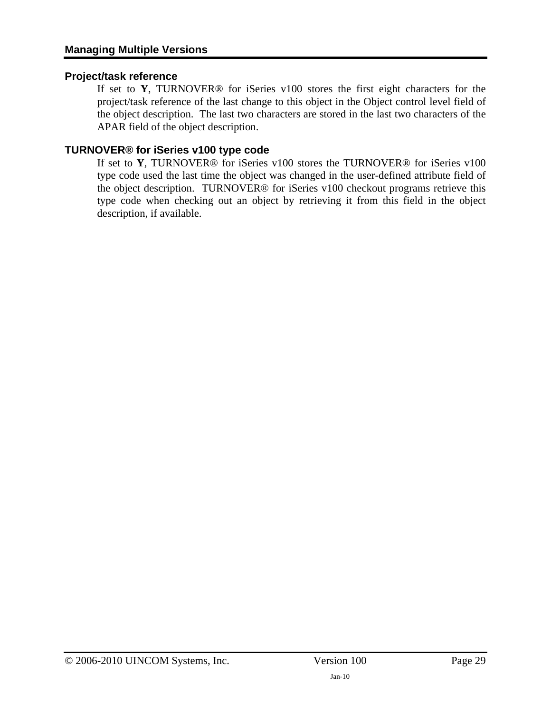### **Project/task reference**

If set to **Y**, TURNOVER® for iSeries v100 stores the first eight characters for the project/task reference of the last change to this object in the Object control level field of the object description. The last two characters are stored in the last two characters of the APAR field of the object description.

### **TURNOVER® for iSeries v100 type code**

If set to **Y**, TURNOVER® for iSeries v100 stores the TURNOVER® for iSeries v100 type code used the last time the object was changed in the user-defined attribute field of the object description. TURNOVER® for iSeries v100 checkout programs retrieve this type code when checking out an object by retrieving it from this field in the object description, if available.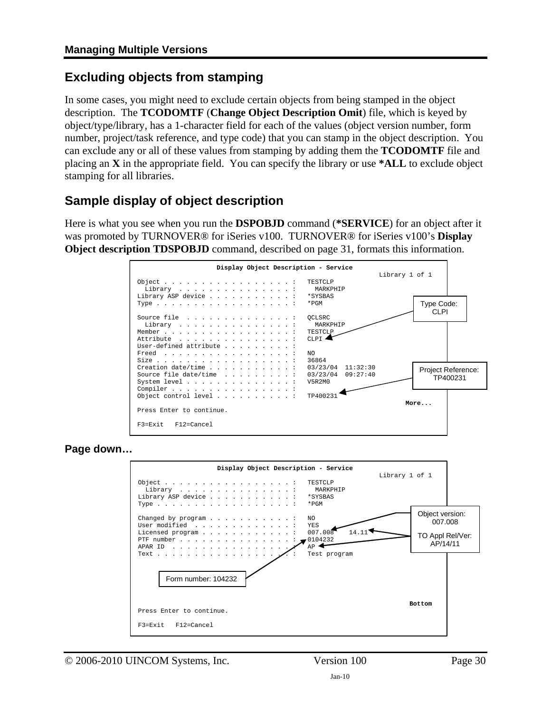### <span id="page-29-1"></span><span id="page-29-0"></span>**Excluding objects from stamping**

In some cases, you might need to exclude certain objects from being stamped in the object description. The **TCODOMTF** (**Change Object Description Omit**) file, which is keyed by object/type/library, has a 1-character field for each of the values (object version number, form number, project/task reference, and type code) that you can stamp in the object description. You can exclude any or all of these values from stamping by adding them the **TCODOMTF** file and placing an **X** in the appropriate field. You can specify the library or use **\*ALL** to exclude object stamping for all libraries.

### <span id="page-29-2"></span>**Sample display of object description**

Here is what you see when you run the **DSPOBJD** command (**\*SERVICE**) for an object after it was promoted by TURNOVER® for iSeries v100. TURNOVER® for iSeries v100's **Display Object description TDSPOBJD** command, described on page [31,](#page-30-2) formats this information.



**Page down…** 

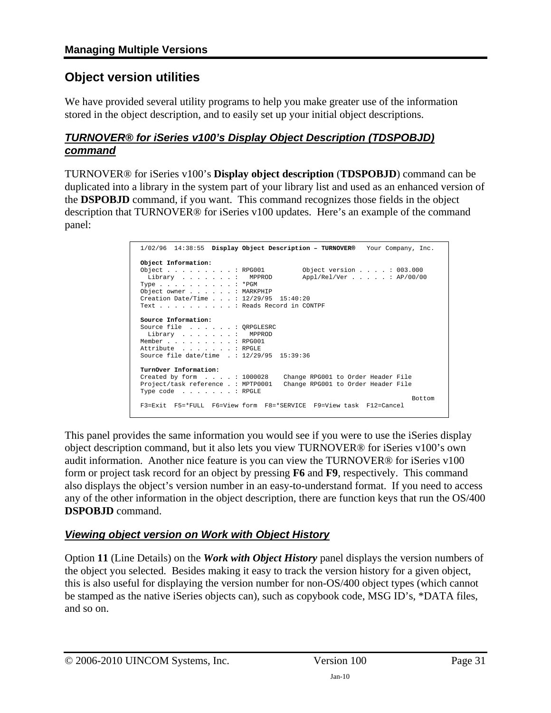### <span id="page-30-1"></span><span id="page-30-0"></span>**Object version utilities**

We have provided several utility programs to help you make greater use of the information stored in the object description, and to easily set up your initial object descriptions.

### <span id="page-30-2"></span>*TURNOVER® for iSeries v100's Display Object Description (TDSPOBJD) command*

TURNOVER® for iSeries v100's **Display object description** (**TDSPOBJD**) command can be duplicated into a library in the system part of your library list and used as an enhanced version of the **DSPOBJD** command, if you want. This command recognizes those fields in the object description that TURNOVER® for iSeries v100 updates. Here's an example of the command panel:

```
 1/02/96 14:38:55 Display Object Description – TURNOVER® Your Company, Inc. 
 Object Information: 
0bject . . . . . . . . : RPG001 0bject version . . . : 003.000<br>
Library . . . . . . : MPPROD Appl/Rel/Ver . . . . : AP/00/00<br>
Type . . . . . . . . . : *PGM
 Object owner . . . . . . : MARKPHIP 
 Creation Date/Time . . . : 12/29/95 15:40:20 
 Text . . . . . . . . . . : Reads Record in CONTPF 
Source Information: 
 Source file . . . . . . : QRPGLESRC 
   Library . . . . . . . : MPPROD 
 Member . . . . . . . . . : RPG001 
 Attribute . . . . . . . : RPGLE 
 Source file date/time . : 12/29/95 15:39:36 
TurnOver Information: 
 Created by form . . . . : 1000028 Change RPG001 to Order Header File 
 Project/task reference . : MPTP0001 Change RPG001 to Order Header File 
 Type code . . . . . . . : RPGLE 
Bottom Bottom and the set of the set of the set of the set of the set of the set of the set of the set of the set of the set of the set of the set of the set of the set of the set of the set of the set of the set of the se
 F3=Exit F5=*FULL F6=View form F8=*SERVICE F9=View task F12=Cancel
```
This panel provides the same information you would see if you were to use the iSeries display object description command, but it also lets you view TURNOVER® for iSeries v100's own audit information. Another nice feature is you can view the TURNOVER® for iSeries v100 form or project task record for an object by pressing **F6** and **F9**, respectively. This command also displays the object's version number in an easy-to-understand format. If you need to access any of the other information in the object description, there are function keys that run the OS/400 **DSPOBJD** command.

### *Viewing object version on Work with Object History*

Option **11** (Line Details) on the *Work with Object History* panel displays the version numbers of the object you selected. Besides making it easy to track the version history for a given object, this is also useful for displaying the version number for non-OS/400 object types (which cannot be stamped as the native iSeries objects can), such as copybook code, MSG ID's, \*DATA files, and so on.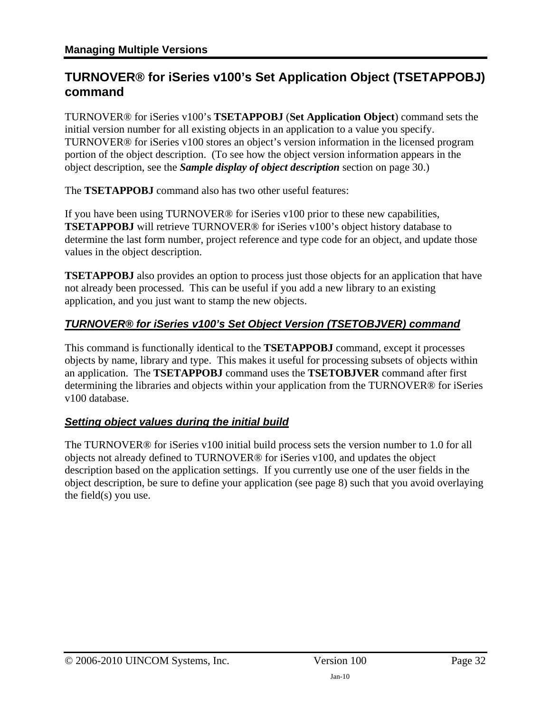### <span id="page-31-1"></span><span id="page-31-0"></span>**TURNOVER® for iSeries v100's Set Application Object (TSETAPPOBJ) command**

TURNOVER® for iSeries v100's **TSETAPPOBJ** (**Set Application Object**) command sets the initial version number for all existing objects in an application to a value you specify. TURNOVER® for iSeries v100 stores an object's version information in the licensed program portion of the object description. (To see how the object version information appears in the object description, see the *[Sample display of object description](#page-29-2)* section on page [30](#page-29-2).)

The **TSETAPPOBJ** command also has two other useful features:

If you have been using TURNOVER® for iSeries v100 prior to these new capabilities, **TSETAPPOBJ** will retrieve TURNOVER® for iSeries v100's object history database to determine the last form number, project reference and type code for an object, and update those values in the object description.

**TSETAPPOBJ** also provides an option to process just those objects for an application that have not already been processed. This can be useful if you add a new library to an existing application, and you just want to stamp the new objects.

### *TURNOVER® for iSeries v100's Set Object Version (TSETOBJVER) command*

This command is functionally identical to the **TSETAPPOBJ** command, except it processes objects by name, library and type. This makes it useful for processing subsets of objects within an application. The **TSETAPPOBJ** command uses the **TSETOBJVER** command after first determining the libraries and objects within your application from the TURNOVER® for iSeries v100 database.

### *Setting object values during the initial build*

The TURNOVER® for iSeries v100 initial build process sets the version number to 1.0 for all objects not already defined to TURNOVER® for iSeries v100, and updates the object description based on the application settings. If you currently use one of the user fields in the object description, be sure to define your application (see page [8](#page-7-1)) such that you avoid overlaying the field(s) you use.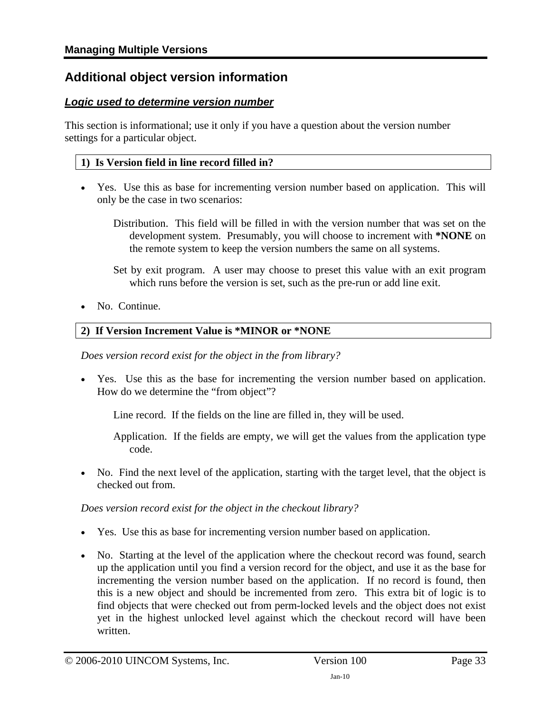### <span id="page-32-1"></span><span id="page-32-0"></span>**Additional object version information**

### *Logic used to determine version number*

This section is informational; use it only if you have a question about the version number settings for a particular object.

#### **1) Is Version field in line record filled in?**

- Yes. Use this as base for incrementing version number based on application. This will only be the case in two scenarios:
	- Distribution. This field will be filled in with the version number that was set on the development system. Presumably, you will choose to increment with **\*NONE** on the remote system to keep the version numbers the same on all systems.
	- Set by exit program. A user may choose to preset this value with an exit program which runs before the version is set, such as the pre-run or add line exit.
- No. Continue.

### **2) If Version Increment Value is \*MINOR or \*NONE**

*Does version record exist for the object in the from library?* 

• Yes. Use this as the base for incrementing the version number based on application. How do we determine the "from object"?

Line record. If the fields on the line are filled in, they will be used.

Application. If the fields are empty, we will get the values from the application type code.

• No. Find the next level of the application, starting with the target level, that the object is checked out from.

#### *Does version record exist for the object in the checkout library?*

- Yes. Use this as base for incrementing version number based on application.
- No. Starting at the level of the application where the checkout record was found, search up the application until you find a version record for the object, and use it as the base for incrementing the version number based on the application. If no record is found, then this is a new object and should be incremented from zero. This extra bit of logic is to find objects that were checked out from perm-locked levels and the object does not exist yet in the highest unlocked level against which the checkout record will have been written.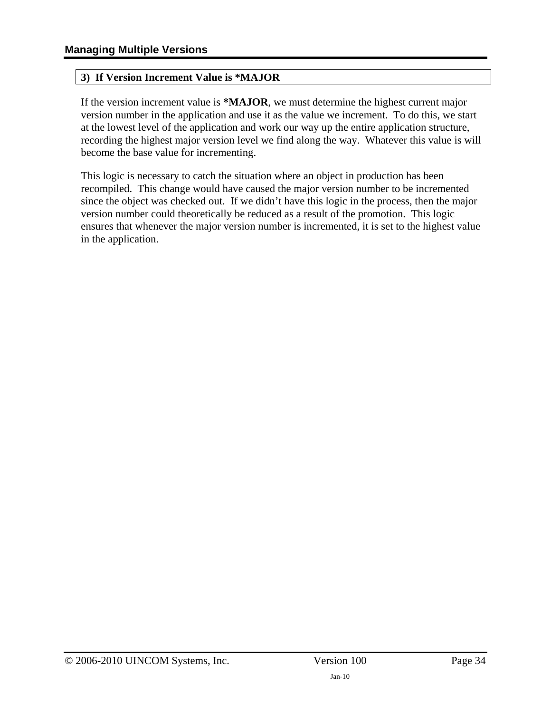#### **3) If Version Increment Value is \*MAJOR**

If the version increment value is **\*MAJOR**, we must determine the highest current major version number in the application and use it as the value we increment. To do this, we start at the lowest level of the application and work our way up the entire application structure, recording the highest major version level we find along the way. Whatever this value is will become the base value for incrementing.

This logic is necessary to catch the situation where an object in production has been recompiled. This change would have caused the major version number to be incremented since the object was checked out. If we didn't have this logic in the process, then the major version number could theoretically be reduced as a result of the promotion. This logic ensures that whenever the major version number is incremented, it is set to the highest value in the application.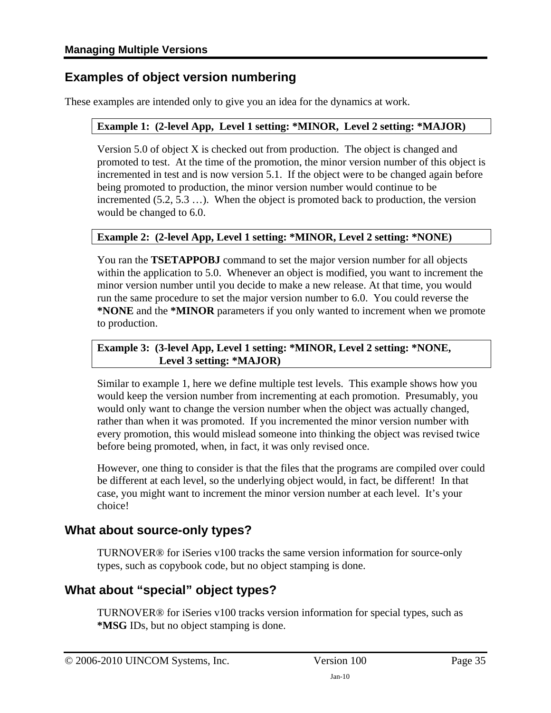### <span id="page-34-1"></span><span id="page-34-0"></span>**Examples of object version numbering**

These examples are intended only to give you an idea for the dynamics at work.

### **Example 1: (2-level App, Level 1 setting: \*MINOR, Level 2 setting: \*MAJOR)**

Version 5.0 of object X is checked out from production. The object is changed and promoted to test. At the time of the promotion, the minor version number of this object is incremented in test and is now version 5.1. If the object were to be changed again before being promoted to production, the minor version number would continue to be incremented (5.2, 5.3 …). When the object is promoted back to production, the version would be changed to 6.0.

#### **Example 2: (2-level App, Level 1 setting: \*MINOR, Level 2 setting: \*NONE)**

You ran the **TSETAPPOBJ** command to set the major version number for all objects within the application to 5.0. Whenever an object is modified, you want to increment the minor version number until you decide to make a new release. At that time, you would run the same procedure to set the major version number to 6.0. You could reverse the **\*NONE** and the **\*MINOR** parameters if you only wanted to increment when we promote to production.

#### **Example 3: (3-level App, Level 1 setting: \*MINOR, Level 2 setting: \*NONE, Level 3 setting: \*MAJOR)**

Similar to example 1, here we define multiple test levels. This example shows how you would keep the version number from incrementing at each promotion. Presumably, you would only want to change the version number when the object was actually changed, rather than when it was promoted. If you incremented the minor version number with every promotion, this would mislead someone into thinking the object was revised twice before being promoted, when, in fact, it was only revised once.

However, one thing to consider is that the files that the programs are compiled over could be different at each level, so the underlying object would, in fact, be different! In that case, you might want to increment the minor version number at each level. It's your choice!

### <span id="page-34-2"></span>**What about source-only types?**

TURNOVER® for iSeries v100 tracks the same version information for source-only types, such as copybook code, but no object stamping is done.

### <span id="page-34-3"></span>**What about "special" object types?**

TURNOVER® for iSeries v100 tracks version information for special types, such as **\*MSG** IDs, but no object stamping is done.